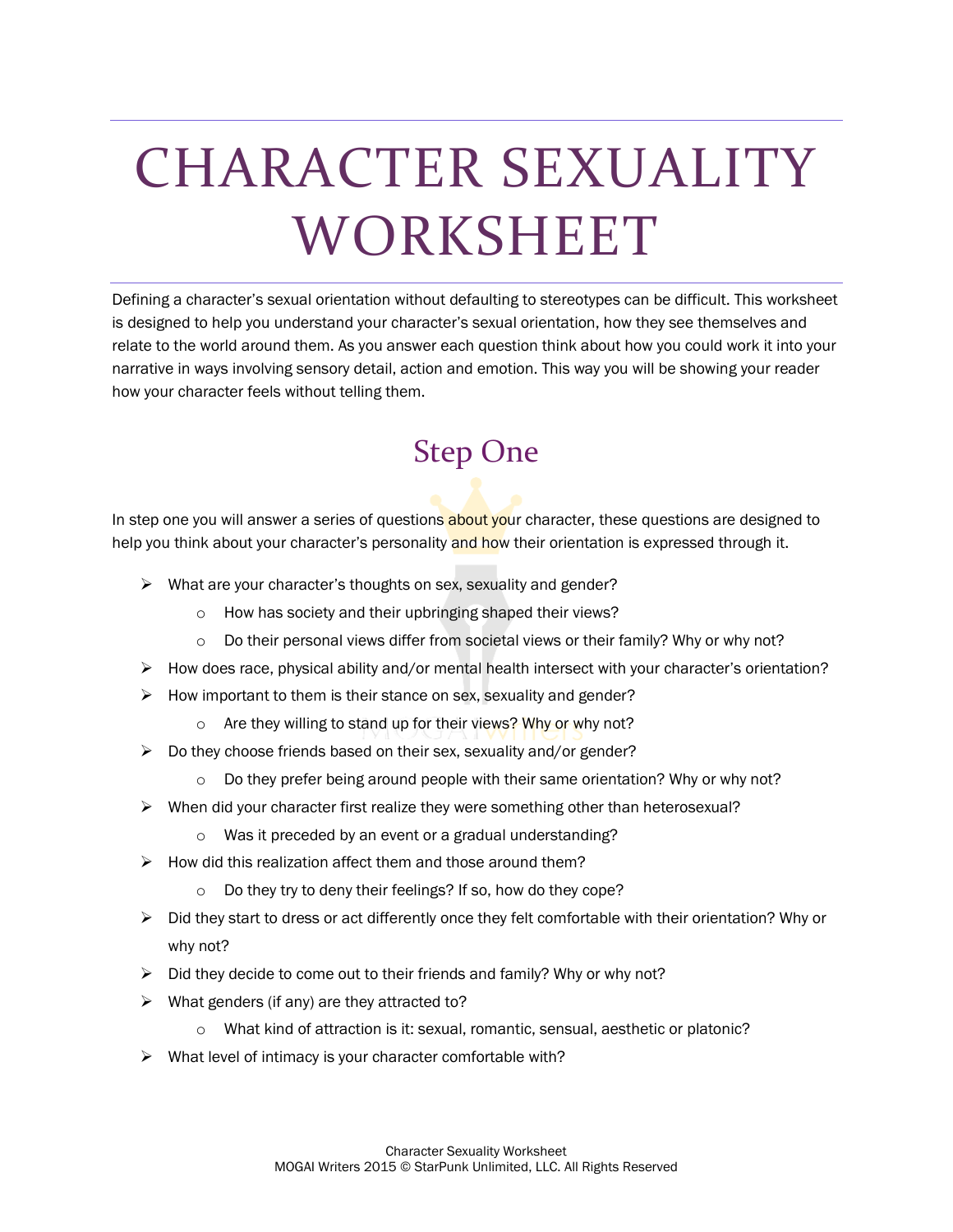# CHARACTER SEXUALITY WORKSHEET

Defining a character's sexual orientation without defaulting to stereotypes can be difficult. This worksheet is designed to help you understand your character's sexual orientation, how they see themselves and relate to the world around them. As you answer each question think about how you could work it into your narrative in ways involving sensory detail, action and emotion. This way you will be showing your reader how your character feels without telling them.

#### Step One

In step one you will answer a series of questions about your character, these questions are designed to help you think about your character's personality and how their orientation is expressed through it.

- $\triangleright$  What are your character's thoughts on sex, sexuality and gender?
	- o How has society and their upbringing shaped their views?
	- $\circ$  Do their personal views differ from societal views or their family? Why or why not?
- $\triangleright$  How does race, physical ability and/or mental health intersect with your character's orientation?
- $\triangleright$  How important to them is their stance on sex, sexuality and gender?
	- o Are they willing to stand up for their views? Why or why not?
- $\triangleright$  Do they choose friends based on their sex, sexuality and/or gender?
	- $\circ$  Do they prefer being around people with their same orientation? Why or why not?
- $\triangleright$  When did your character first realize they were something other than heterosexual?
	- o Was it preceded by an event or a gradual understanding?
- $\triangleright$  How did this realization affect them and those around them?
	- o Do they try to deny their feelings? If so, how do they cope?
- $\triangleright$  Did they start to dress or act differently once they felt comfortable with their orientation? Why or why not?
- $\triangleright$  Did they decide to come out to their friends and family? Why or why not?
- $\triangleright$  What genders (if any) are they attracted to?
	- o What kind of attraction is it: sexual, romantic, sensual, aesthetic or platonic?
- $\triangleright$  What level of intimacy is your character comfortable with?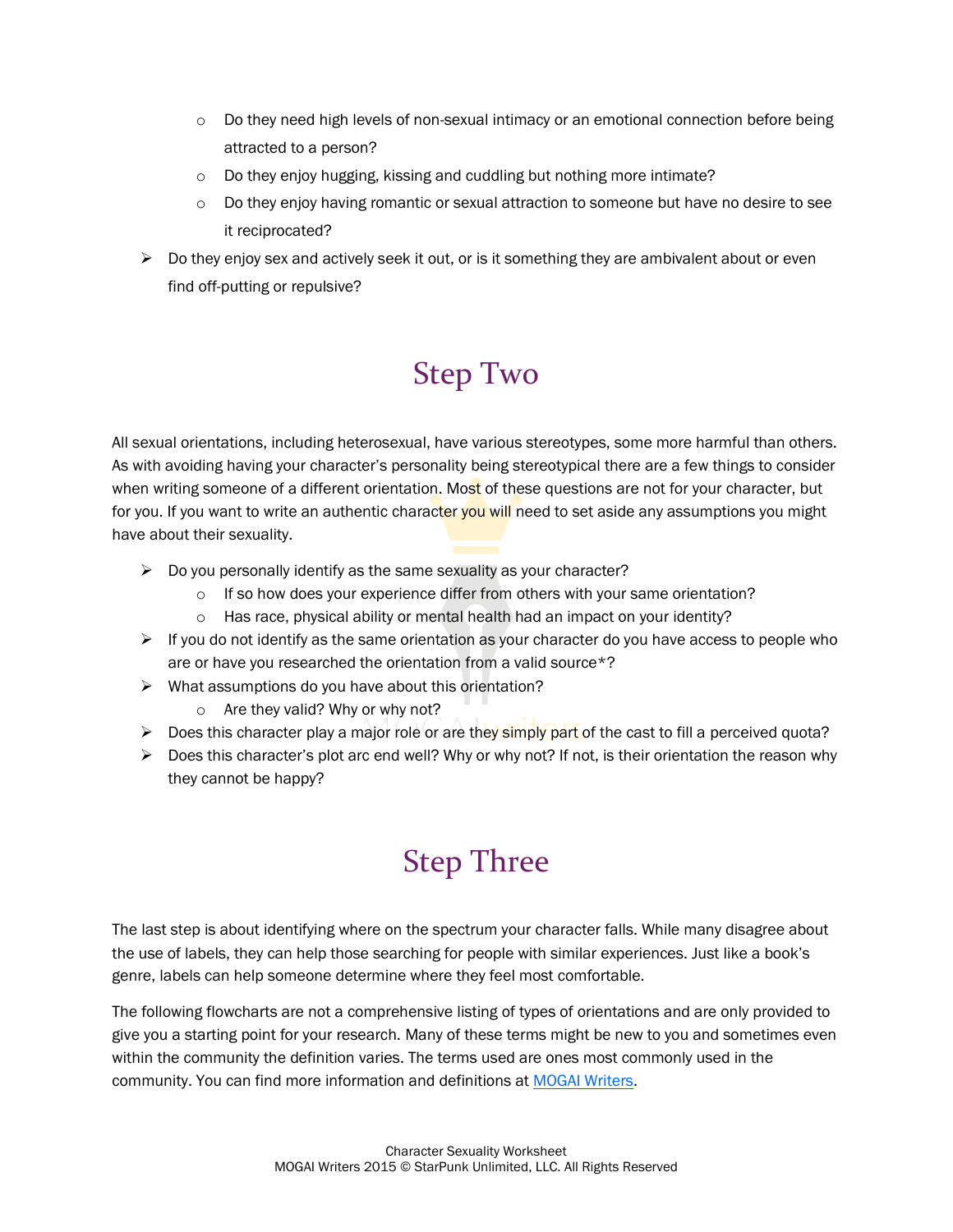- o Do they need high levels of non-sexual intimacy or an emotional connection before being attracted to a person?
- $\circ$  Do they enjoy hugging, kissing and cuddling but nothing more intimate?
- o Do they enjoy having romantic or sexual attraction to someone but have no desire to see it reciprocated?
- $\triangleright$  Do they enjoy sex and actively seek it out, or is it something they are ambivalent about or even find off-putting or repulsive?

### Step Two

All sexual orientations, including heterosexual, have various stereotypes, some more harmful than others. As with avoiding having your character's personality being stereotypical there are a few things to consider when writing someone of a different orientation. Most of these questions are not for your character, but for you. If you want to write an authentic character you will need to set aside any assumptions you might have about their sexuality.

- $\triangleright$  Do you personally identify as the same sexuality as your character?
	- $\circ$  If so how does your experience differ from others with your same orientation?
	- o Has race, physical ability or mental health had an impact on your identity?
- $\triangleright$  If you do not identify as the same orientation as your character do you have access to people who are or have you researched the orientation from a valid source\*?
- $\triangleright$  What assumptions do you have about this orientation?
	- o Are they valid? Why or why not?
- $\triangleright$  Does this character play a major role or are they simply part of the cast to fill a perceived quota?
- $\triangleright$  Does this character's plot arc end well? Why or why not? If not, is their orientation the reason why they cannot be happy?

#### Step Three

The last step is about identifying where on the spectrum your character falls. While many disagree about the use of labels, they can help those searching for people with similar experiences. Just like a book's genre, labels can help someone determine where they feel most comfortable.

The following flowcharts are not a comprehensive listing of types of orientations and are only provided to give you a starting point for your research. Many of these terms might be new to you and sometimes even within the community the definition varies. The terms used are ones most commonly used in the community. You can find more information and definitions a[t MOGAI Writers.](http://mogaiwriters.tumblr.com/)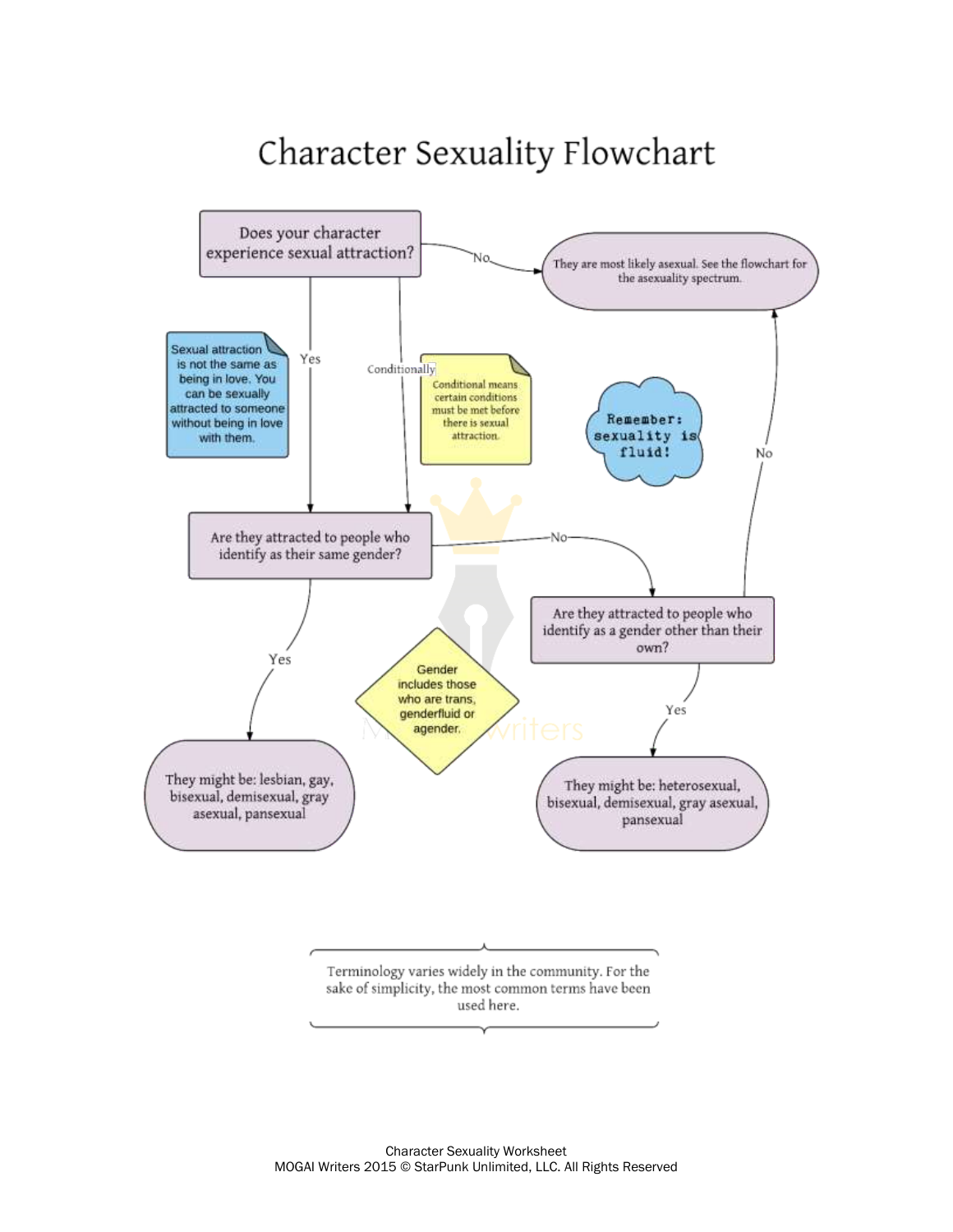## Character Sexuality Flowchart